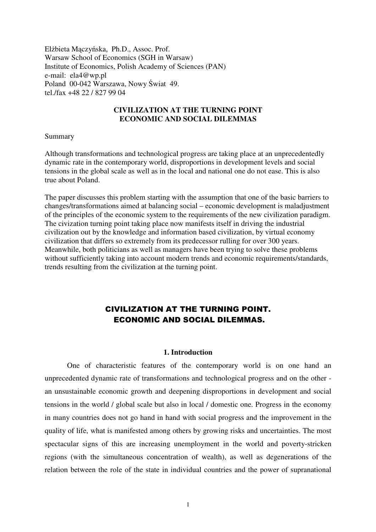Elżbieta Mączyńska, Ph.D., Assoc. Prof. Warsaw School of Economics (SGH in Warsaw) Institute of Economics, Polish Academy of Sciences (PAN) e-mail: ela4@wp.pl Poland 00-042 Warszawa, Nowy Świat 49. tel./fax +48 22 / 827 99 04

## **CIVILIZATION AT THE TURNING POINT ECONOMIC AND SOCIAL DILEMMAS**

### Summary

Although transformations and technological progress are taking place at an unprecedentedly dynamic rate in the contemporary world, disproportions in development levels and social tensions in the global scale as well as in the local and national one do not ease. This is also true about Poland.

The paper discusses this problem starting with the assumption that one of the basic barriers to changes/transformations aimed at balancing social – economic development is maladjustment of the principles of the economic system to the requirements of the new civilization paradigm. The civization turning point taking place now manifests itself in driving the industrial civilization out by the knowledge and information based civilization, by virtual economy civilization that differs so extremely from its predecessor rulling for over 300 years. Meanwhile, both politicians as well as managers have been trying to solve these problems without sufficiently taking into account modern trends and economic requirements/standards, trends resulting from the civilization at the turning point.

# CIVILIZATION AT THE TURNING POINT. ECONOMIC AND SOCIAL DILEMMAS.

### **1. Introduction**

One of characteristic features of the contemporary world is on one hand an unprecedented dynamic rate of transformations and technological progress and on the other an unsustainable economic growth and deepening disproportions in development and social tensions in the world / global scale but also in local / domestic one. Progress in the economy in many countries does not go hand in hand with social progress and the improvement in the quality of life, what is manifested among others by growing risks and uncertainties. The most spectacular signs of this are increasing unemployment in the world and poverty-stricken regions (with the simultaneous concentration of wealth), as well as degenerations of the relation between the role of the state in individual countries and the power of supranational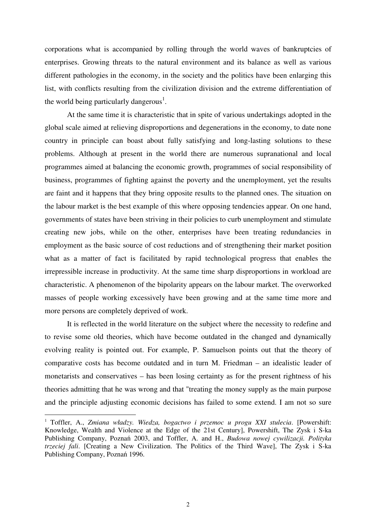corporations what is accompanied by rolling through the world waves of bankruptcies of enterprises. Growing threats to the natural environment and its balance as well as various different pathologies in the economy, in the society and the politics have been enlarging this list, with conflicts resulting from the civilization division and the extreme differentiation of the world being particularly dangerous<sup>1</sup>.

At the same time it is characteristic that in spite of various undertakings adopted in the global scale aimed at relieving disproportions and degenerations in the economy, to date none country in principle can boast about fully satisfying and long-lasting solutions to these problems. Although at present in the world there are numerous supranational and local programmes aimed at balancing the economic growth, programmes of social responsibility of business, programmes of fighting against the poverty and the unemployment, yet the results are faint and it happens that they bring opposite results to the planned ones. The situation on the labour market is the best example of this where opposing tendencies appear. On one hand, governments of states have been striving in their policies to curb unemployment and stimulate creating new jobs, while on the other, enterprises have been treating redundancies in employment as the basic source of cost reductions and of strengthening their market position what as a matter of fact is facilitated by rapid technological progress that enables the irrepressible increase in productivity. At the same time sharp disproportions in workload are characteristic. A phenomenon of the bipolarity appears on the labour market. The overworked masses of people working excessively have been growing and at the same time more and more persons are completely deprived of work.

It is reflected in the world literature on the subject where the necessity to redefine and to revise some old theories, which have become outdated in the changed and dynamically evolving reality is pointed out. For example, P. Samuelson points out that the theory of comparative costs has become outdated and in turn M. Friedman – an idealistic leader of monetarists and conservatives – has been losing certainty as for the present rightness of his theories admitting that he was wrong and that "treating the money supply as the main purpose and the principle adjusting economic decisions has failed to some extend. I am not so sure

<sup>1</sup> Toffler, A., *Zmiana władzy. Wiedza, bogactwo i przemoc u progu XXI stulecia*. [Powershift: Knowledge, Wealth and Violence at the Edge of the 21st Century], Powershift, The Zysk i S-ka Publishing Company, Poznań 2003, and Toffler, A. and H., *Budowa nowej cywilizacji. Polityka trzeciej fali*. [Creating a New Civilization. The Politics of the Third Wave], The Zysk i S-ka Publishing Company, Poznań 1996.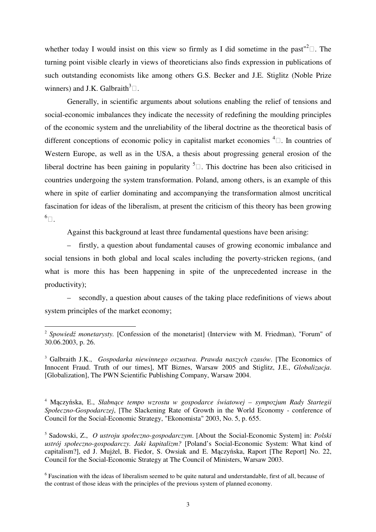whether today I would insist on this view so firmly as I did sometime in the past<sup>"2</sup> $\Box$ . The turning point visible clearly in views of theoreticians also finds expression in publications of such outstanding economists like among others G.S. Becker and J.E. Stiglitz (Noble Prize winners) and J.K. Galbraith<sup>3</sup> $\Box$ .

Generally, in scientific arguments about solutions enabling the relief of tensions and social-economic imbalances they indicate the necessity of redefining the moulding principles of the economic system and the unreliability of the liberal doctrine as the theoretical basis of different conceptions of economic policy in capitalist market economies  ${}^{4}\square$ . In countries of Western Europe, as well as in the USA, a thesis about progressing general erosion of the liberal doctrine has been gaining in popularity  $5\Box$ . This doctrine has been also criticised in countries undergoing the system transformation. Poland, among others, is an example of this where in spite of earlier dominating and accompanying the transformation almost uncritical fascination for ideas of the liberalism, at present the criticism of this theory has been growing  $^6\square$ .

Against this background at least three fundamental questions have been arising:

– firstly, a question about fundamental causes of growing economic imbalance and social tensions in both global and local scales including the poverty-stricken regions, (and what is more this has been happening in spite of the unprecedented increase in the productivity);

– secondly, a question about causes of the taking place redefinitions of views about system principles of the market economy;

 2 *Spowied*ź *monetarysty.* [Confession of the monetarist] (Interview with M. Friedman), "Forum" of 30.06.2003, p. 26.

<sup>3</sup> Galbraith J.K., *Gospodarka niewinnego oszustwa*. *Prawda naszych czasów*. [The Economics of Innocent Fraud. Truth of our times], MT Biznes, Warsaw 2005 and Stiglitz, J.E., *Globalizacja*. [Globalization], The PWN Scientific Publishing Company, Warsaw 2004.

<sup>4</sup> Mączyńska, E., *Słabn*ą*ce tempo wzrostu w gospodarce* ś*wiatowej – sympozjum Rady Startegii Społeczno-Gospodarczej*, [The Slackening Rate of Growth in the World Economy - conference of Council for the Social-Economic Strategy, "Ekonomista" 2003, No. 5, p. 655.

<sup>5</sup> Sadowski, Z., *O ustroju społeczno-gospodarczym*. [About the Social-Economic System] in: *Polski ustrój społeczno-gospodarczy. Jaki kapitalizm?* [Poland's Social-Economic System: What kind of capitalism?], ed J. Mujżel, B. Fiedor, S. Owsiak and E. Mączyńska, Raport [The Report] No. 22, Council for the Social-Economic Strategy at The Council of Ministers, Warsaw 2003.

<sup>&</sup>lt;sup>6</sup> Fascination with the ideas of liberalism seemed to be quite natural and understandable, first of all, because of the contrast of those ideas with the principles of the previous system of planned economy.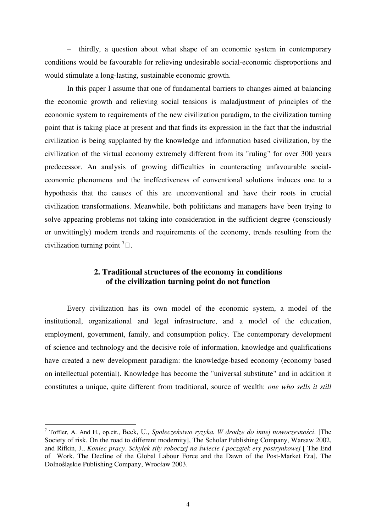– thirdly, a question about what shape of an economic system in contemporary conditions would be favourable for relieving undesirable social-economic disproportions and would stimulate a long-lasting, sustainable economic growth.

In this paper I assume that one of fundamental barriers to changes aimed at balancing the economic growth and relieving social tensions is maladjustment of principles of the economic system to requirements of the new civilization paradigm, to the civilization turning point that is taking place at present and that finds its expression in the fact that the industrial civilization is being supplanted by the knowledge and information based civilization, by the civilization of the virtual economy extremely different from its "ruling" for over 300 years predecessor. An analysis of growing difficulties in counteracting unfavourable socialeconomic phenomena and the ineffectiveness of conventional solutions induces one to a hypothesis that the causes of this are unconventional and have their roots in crucial civilization transformations. Meanwhile, both politicians and managers have been trying to solve appearing problems not taking into consideration in the sufficient degree (consciously or unwittingly) modern trends and requirements of the economy, trends resulting from the civilization turning point  $^7\Box$ .

# **2. Traditional structures of the economy in conditions of the civilization turning point do not function**

Every civilization has its own model of the economic system, a model of the institutional, organizational and legal infrastructure, and a model of the education, employment, government, family, and consumption policy. The contemporary development of science and technology and the decisive role of information, knowledge and qualifications have created a new development paradigm: the knowledge-based economy (economy based on intellectual potential). Knowledge has become the "universal substitute" and in addition it constitutes a unique, quite different from traditional, source of wealth: *one who sells it still* 

<sup>7</sup> Toffler, A. And H., op.cit., Beck, U., *Społecze*ń*stwo ryzyka. W drodze do innej nowoczesno*ś*ci*. [The Society of risk. On the road to different modernity], The Scholar Publishing Company, Warsaw 2002, and Rifkin, J., *Koniec pracy. Schyłek siły roboczej na* ś*wiecie i pocz*ą*tek ery postrynkowej* [ The End of Work. The Decline of the Global Labour Force and the Dawn of the Post-Market Era], The Dolnośląskie Publishing Company, Wrocław 2003.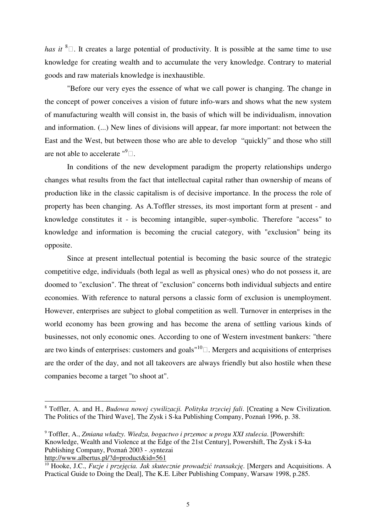*has it*  ${}^{8}$   $\Box$ . It creates a large potential of productivity. It is possible at the same time to use knowledge for creating wealth and to accumulate the very knowledge. Contrary to material goods and raw materials knowledge is inexhaustible.

"Before our very eyes the essence of what we call power is changing. The change in the concept of power conceives a vision of future info-wars and shows what the new system of manufacturing wealth will consist in, the basis of which will be individualism, innovation and information. (...) New lines of divisions will appear, far more important: not between the East and the West, but between those who are able to develop "quickly" and those who still are not able to accelerate  $\mathbb{P}^9 \square$ .

In conditions of the new development paradigm the property relationships undergo changes what results from the fact that intellectual capital rather than ownership of means of production like in the classic capitalism is of decisive importance. In the process the role of property has been changing. As A.Toffler stresses, its most important form at present - and knowledge constitutes it - is becoming intangible, super-symbolic. Therefore "access" to knowledge and information is becoming the crucial category, with "exclusion" being its opposite.

Since at present intellectual potential is becoming the basic source of the strategic competitive edge, individuals (both legal as well as physical ones) who do not possess it, are doomed to "exclusion". The threat of "exclusion" concerns both individual subjects and entire economies. With reference to natural persons a classic form of exclusion is unemployment. However, enterprises are subject to global competition as well. Turnover in enterprises in the world economy has been growing and has become the arena of settling various kinds of businesses, not only economic ones. According to one of Western investment bankers: "there are two kinds of enterprises: customers and goals<sup> $n10$ </sup>. Mergers and acquisitions of enterprises are the order of the day, and not all takeovers are always friendly but also hostile when these companies become a target "to shoot at".

<sup>8</sup> Toffler, A. and H., *Budowa nowej cywilizacji. Polityka trzeciej fali*. [Creating a New Civilization. The Politics of the Third Wave], The Zysk i S-ka Publishing Company, Poznań 1996, p. 38.

<sup>9</sup> Toffler, A., *Zmiana władzy. Wiedza, bogactwo i przemoc u progu XXI stulecia*. [Powershift: Knowledge, Wealth and Violence at the Edge of the 21st Century], Powershift, The Zysk i S-ka Publishing Company, Poznań 2003 - .syntezai http://www.albertus.pl/?d=product&id=561

<sup>10</sup> Hooke, J.C., *Fuzje i przej*ę*cia. Jak skutecznie prowadzi*ć *transakcj*ę. [Mergers and Acquisitions. A Practical Guide to Doing the Deal], The K.E. Liber Publishing Company, Warsaw 1998, p.285.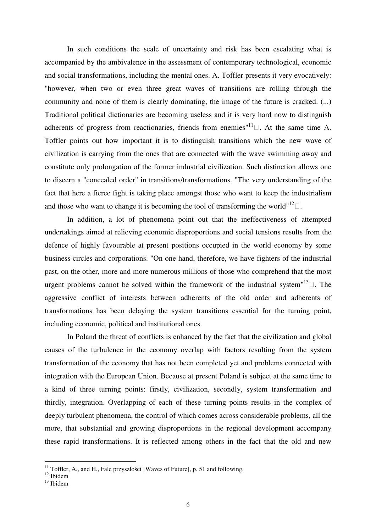In such conditions the scale of uncertainty and risk has been escalating what is accompanied by the ambivalence in the assessment of contemporary technological, economic and social transformations, including the mental ones. A. Toffler presents it very evocatively: "however, when two or even three great waves of transitions are rolling through the community and none of them is clearly dominating, the image of the future is cracked. (...) Traditional political dictionaries are becoming useless and it is very hard now to distinguish adherents of progress from reactionaries, friends from enemies" $11$ <sup> $\Box$ </sup>. At the same time A. Toffler points out how important it is to distinguish transitions which the new wave of civilization is carrying from the ones that are connected with the wave swimming away and constitute only prolongation of the former industrial civilization. Such distinction allows one to discern a "concealed order" in transitions/transformations. "The very understanding of the fact that here a fierce fight is taking place amongst those who want to keep the industrialism and those who want to change it is becoming the tool of transforming the world"<sup>12</sup> $\Box$ .

In addition, a lot of phenomena point out that the ineffectiveness of attempted undertakings aimed at relieving economic disproportions and social tensions results from the defence of highly favourable at present positions occupied in the world economy by some business circles and corporations. "On one hand, therefore, we have fighters of the industrial past, on the other, more and more numerous millions of those who comprehend that the most urgent problems cannot be solved within the framework of the industrial system<sup> $13$ </sup>. The aggressive conflict of interests between adherents of the old order and adherents of transformations has been delaying the system transitions essential for the turning point, including economic, political and institutional ones.

In Poland the threat of conflicts is enhanced by the fact that the civilization and global causes of the turbulence in the economy overlap with factors resulting from the system transformation of the economy that has not been completed yet and problems connected with integration with the European Union. Because at present Poland is subject at the same time to a kind of three turning points: firstly, civilization, secondly, system transformation and thirdly, integration. Overlapping of each of these turning points results in the complex of deeply turbulent phenomena, the control of which comes across considerable problems, all the more, that substantial and growing disproportions in the regional development accompany these rapid transformations. It is reflected among others in the fact that the old and new

 $11$  Toffler, A., and H., Fale przyszłości [Waves of Future], p. 51 and following.

 $12$  Ibidem

<sup>13</sup> Ibidem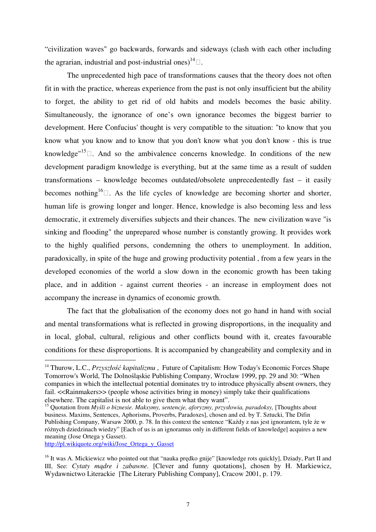"civilization waves" go backwards, forwards and sideways (clash with each other including the agrarian, industrial and post-industrial ones)<sup>14</sup> $\Box$ .

The unprecedented high pace of transformations causes that the theory does not often fit in with the practice, whereas experience from the past is not only insufficient but the ability to forget, the ability to get rid of old habits and models becomes the basic ability. Simultaneously, the ignorance of one's own ignorance becomes the biggest barrier to development. Here Confucius' thought is very compatible to the situation: "to know that you know what you know and to know that you don't know what you don't know - this is true knowledge<sup> $15$ </sup> $\Box$ . And so the ambivalence concerns knowledge. In conditions of the new development paradigm knowledge is everything, but at the same time as a result of sudden transformations – knowledge becomes outdated/obsolete unprecedentedly fast – it easily becomes nothing<sup>16</sup> $\Box$ . As the life cycles of knowledge are becoming shorter and shorter, human life is growing longer and longer. Hence, knowledge is also becoming less and less democratic, it extremely diversifies subjects and their chances. The new civilization wave "is sinking and flooding" the unprepared whose number is constantly growing. It provides work to the highly qualified persons, condemning the others to unemployment. In addition, paradoxically, in spite of the huge and growing productivity potential , from a few years in the developed economies of the world a slow down in the economic growth has been taking place, and in addition - against current theories - an increase in employment does not accompany the increase in dynamics of economic growth.

The fact that the globalisation of the economy does not go hand in hand with social and mental transformations what is reflected in growing disproportions, in the inequality and in local, global, cultural, religious and other conflicts bound with it, creates favourable conditions for these disproportions. It is accompanied by changeability and complexity and in

http://pl.wikiquote.org/wiki/Jose\_Ortega\_y\_Gasset

<sup>&</sup>lt;sup>14</sup> Thurow, L.C., *Przyszłość kapitalizmu*, Future of Capitalism: How Today's Economic Forces Shape Tomorrow's World, The Dolnośląskie Publishing Company, Wrocław 1999, pp. 29 and 30: "When companies in which the intellectual potential dominates try to introduce physically absent owners, they fail.  $\ll$ Rainmakers>> (people whose activities bring in money) simply take their qualifications elsewhere. The capitalist is not able to give them what they want".

<sup>15</sup> Quotation from *My*ś*li o biznesie. Maksymy, sentencje, aforyzmy, przysłowia, paradoksy,* [Thoughts about business. Maxims, Sentences, Aphorisms, Proverbs, Paradoxes], chosen and ed. by T. Sztucki, The Difin Publishing Company, Warsaw 2000, p. 78. In this context the sentence "Każdy z nas jest ignorantem, tyle że w różnych dziedzinach wiedzy" [Each of us is an ignoramus only in different fields of knowledge] acquires a new meaning (Jose Ortega y Gasset).

<sup>&</sup>lt;sup>16</sup> It was A. Mickiewicz who pointed out that "nauka prędko gnije" [knowledge rots quickly], Dziady, Part II and III, See: *Cytaty m*ą*dre i zabawne*. [Clever and funny quotations], chosen by H. Markiewicz, Wydawnictwo Literackie [The Literary Publishing Company], Cracow 2001, p. 179.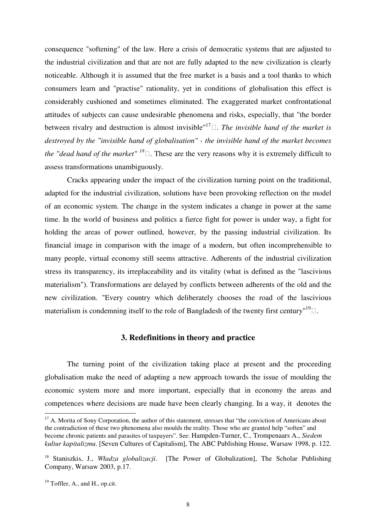consequence "softening" of the law. Here a crisis of democratic systems that are adjusted to the industrial civilization and that are not are fully adapted to the new civilization is clearly noticeable. Although it is assumed that the free market is a basis and a tool thanks to which consumers learn and "practise" rationality, yet in conditions of globalisation this effect is considerably cushioned and sometimes eliminated. The exaggerated market confrontational attitudes of subjects can cause undesirable phenomena and risks, especially, that "the border between rivalry and destruction is almost invisible<sup> $n17$ </sup> $\Box$ *. The invisible hand of the market is destroyed by the "invisible hand of globalisation" - the invisible hand of the market becomes the "dead hand of the market" <sup>18</sup>*-. These are the very reasons why it is extremely difficult to assess transformations unambiguously.

Cracks appearing under the impact of the civilization turning point on the traditional, adapted for the industrial civilization, solutions have been provoking reflection on the model of an economic system. The change in the system indicates a change in power at the same time. In the world of business and politics a fierce fight for power is under way, a fight for holding the areas of power outlined, however, by the passing industrial civilization. Its financial image in comparison with the image of a modern, but often incomprehensible to many people, virtual economy still seems attractive. Adherents of the industrial civilization stress its transparency, its irreplaceability and its vitality (what is defined as the "lascivious materialism"). Transformations are delayed by conflicts between adherents of the old and the new civilization. "Every country which deliberately chooses the road of the lascivious materialism is condemning itself to the role of Bangladesh of the twenty first century"<sup>19</sup> $\Box$ .

### **3. Redefinitions in theory and practice**

The turning point of the civilization taking place at present and the proceeding globalisation make the need of adapting a new approach towards the issue of moulding the economic system more and more important, especially that in economy the areas and competences where decisions are made have been clearly changing. In a way, it denotes the

 $17$  A. Morita of Sony Corporation, the author of this statement, stresses that "the conviction of Americans about the contradiction of these two phenomena also moulds the reality. Those who are granted help "soften" and become chronic patients and parasites of taxpayers". See: Hampden-Turner, C., Trompenaars A., *Siedem kultur kapitalizmu*. [Seven Cultures of Capitalism], The ABC Publishing House, Warsaw 1998, p. 122.

<sup>18</sup> Staniszkis, J., *Władza globalizacji*. [The Power of Globalization], The Scholar Publishing Company, Warsaw 2003, p.17.

 $19$  Toffler, A., and H., op.cit.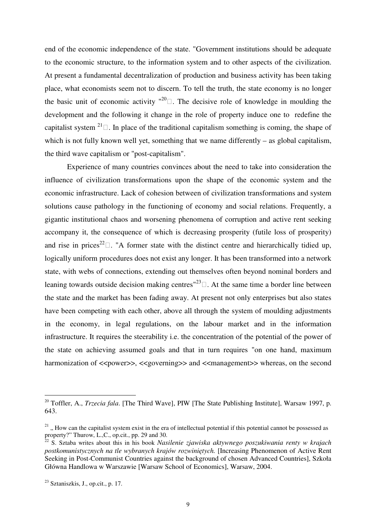end of the economic independence of the state. "Government institutions should be adequate to the economic structure, to the information system and to other aspects of the civilization. At present a fundamental decentralization of production and business activity has been taking place, what economists seem not to discern. To tell the truth, the state economy is no longer the basic unit of economic activity  $T^{20}$ . The decisive role of knowledge in moulding the development and the following it change in the role of property induce one to redefine the capitalist system  $2^{1} \Box$ . In place of the traditional capitalism something is coming, the shape of which is not fully known well yet, something that we name differently – as global capitalism, the third wave capitalism or "post-capitalism".

Experience of many countries convinces about the need to take into consideration the influence of civilization transformations upon the shape of the economic system and the economic infrastructure. Lack of cohesion between of civilization transformations and system solutions cause pathology in the functioning of economy and social relations. Frequently, a gigantic institutional chaos and worsening phenomena of corruption and active rent seeking accompany it, the consequence of which is decreasing prosperity (futile loss of prosperity) and rise in prices<sup>22</sup> $\Box$ . "A former state with the distinct centre and hierarchically tidied up, logically uniform procedures does not exist any longer. It has been transformed into a network state, with webs of connections, extending out themselves often beyond nominal borders and leaning towards outside decision making centres<sup>"23</sup> $\Box$ . At the same time a border line between the state and the market has been fading away. At present not only enterprises but also states have been competing with each other, above all through the system of moulding adjustments in the economy, in legal regulations, on the labour market and in the information infrastructure. It requires the steerability i.e. the concentration of the potential of the power of the state on achieving assumed goals and that in turn requires "on one hand, maximum harmonization of  $\langle$ power $\rangle$ ,  $\langle$ governing $\rangle$  and  $\langle$ management $\rangle$  whereas, on the second

<sup>&</sup>lt;sup>20</sup> Toffler, A., *Trzecia fala*. [The Third Wave], PIW [The State Publishing Institute], Warsaw 1997, p. 643.

 $^{21}$   $\ldots$  How can the capitalist system exist in the era of intellectual potential if this potential cannot be possessed as property?" Thurow, L.,C., op.cit., pp. 29 and 30.

<sup>22</sup> S. Sztaba writes about this in his book *Nasilenie zjawiska aktywnego poszukiwania renty w krajach postkomunistycznych na tle wybranych krajów rozwini*ę*tych.* [Increasing Phenomenon of Active Rent Seeking in Post-Communist Countries against the background of chosen Advanced Countries], Szkoła Główna Handlowa w Warszawie [Warsaw School of Economics], Warsaw, 2004.

 $23$  Sztaniszkis, J., op.cit., p. 17.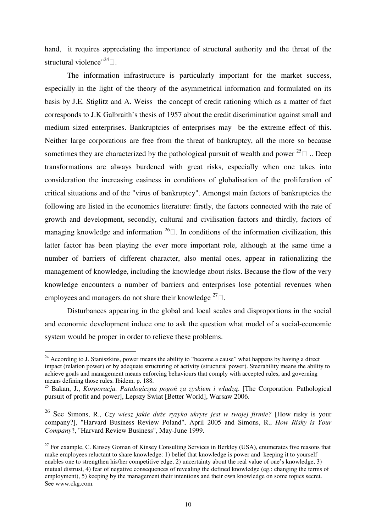hand, it requires appreciating the importance of structural authority and the threat of the structural violence"<sup>24</sup> $\Box$ .

The information infrastructure is particularly important for the market success, especially in the light of the theory of the asymmetrical information and formulated on its basis by J.E. Stiglitz and A. Weiss the concept of credit rationing which as a matter of fact corresponds to J.K Galbraith's thesis of 1957 about the credit discrimination against small and medium sized enterprises. Bankruptcies of enterprises may be the extreme effect of this. Neither large corporations are free from the threat of bankruptcy, all the more so because sometimes they are characterized by the pathological pursuit of wealth and power  $^{25}$   $\Box$  .. Deep transformations are always burdened with great risks, especially when one takes into consideration the increasing easiness in conditions of globalisation of the proliferation of critical situations and of the "virus of bankruptcy". Amongst main factors of bankruptcies the following are listed in the economics literature: firstly, the factors connected with the rate of growth and development, secondly, cultural and civilisation factors and thirdly, factors of managing knowledge and information  $^{26}$   $\Box$ . In conditions of the information civilization, this latter factor has been playing the ever more important role, although at the same time a number of barriers of different character, also mental ones, appear in rationalizing the management of knowledge, including the knowledge about risks. Because the flow of the very knowledge encounters a number of barriers and enterprises lose potential revenues when employees and managers do not share their knowledge  $27 \square$ .

Disturbances appearing in the global and local scales and disproportions in the social and economic development induce one to ask the question what model of a social-economic system would be proper in order to relieve these problems.

<sup>&</sup>lt;sup>24</sup> According to J. Staniszkins, power means the ability to "become a cause" what happens by having a direct impact (relation power) or by adequate structuring of activity (structural power). Steerability means the ability to achieve goals and management means enforcing behaviours that comply with accepted rules, and governing means defining those rules. Ibidem, p. 188.

<sup>25</sup> Bakan, J., *Korporacja. Patalogiczna pogo*ń *za zyskiem i władz*ą. [The Corporation. Pathological pursuit of profit and power], Lepszy Świat [Better World], Warsaw 2006.

<sup>26</sup> See Simons, R., *Czy wiesz jakie du*ż*e ryzyko ukryte jest w twojej firmie?* [How risky is your company?], "Harvard Business Review Poland", April 2005 and Simons, R., *How Risky is Your Company*?, "Harvard Review Business", May-June 1999.

 $27$  For example, C. Kinsey Goman of Kinsey Consulting Services in Berkley (USA), enumerates five reasons that make employees reluctant to share knowledge: 1) belief that knowledge is power and keeping it to yourself enables one to strengthen his/her competitive edge, 2) uncertainty about the real value of one's knowledge, 3) mutual distrust, 4) fear of negative consequences of revealing the defined knowledge (eg.: changing the terms of employment), 5) keeping by the management their intentions and their own knowledge on some topics secret. See www.ckg.com.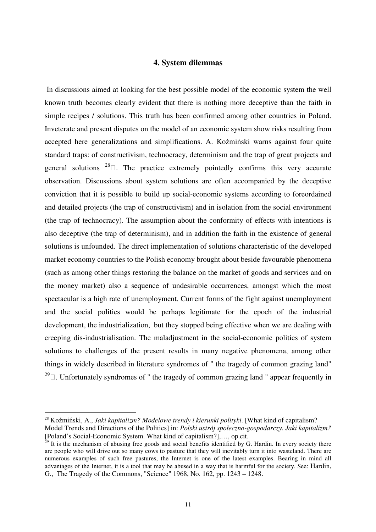### **4. System dilemmas**

 In discussions aimed at looking for the best possible model of the economic system the well known truth becomes clearly evident that there is nothing more deceptive than the faith in simple recipes / solutions. This truth has been confirmed among other countries in Poland. Inveterate and present disputes on the model of an economic system show risks resulting from accepted here generalizations and simplifications. A. Koźmiński warns against four quite standard traps: of constructivism, technocracy, determinism and the trap of great projects and general solutions  $28$   $\Box$ . The practice extremely pointedly confirms this very accurate observation. Discussions about system solutions are often accompanied by the deceptive conviction that it is possible to build up social-economic systems according to foreordained and detailed projects (the trap of constructivism) and in isolation from the social environment (the trap of technocracy). The assumption about the conformity of effects with intentions is also deceptive (the trap of determinism), and in addition the faith in the existence of general solutions is unfounded. The direct implementation of solutions characteristic of the developed market economy countries to the Polish economy brought about beside favourable phenomena (such as among other things restoring the balance on the market of goods and services and on the money market) also a sequence of undesirable occurrences, amongst which the most spectacular is a high rate of unemployment. Current forms of the fight against unemployment and the social politics would be perhaps legitimate for the epoch of the industrial development, the industrialization, but they stopped being effective when we are dealing with creeping dis-industrialisation. The maladjustment in the social-economic politics of system solutions to challenges of the present results in many negative phenomena, among other things in widely described in literature syndromes of " the tragedy of common grazing land"  $2^{29}$  . Unfortunately syndromes of " the tragedy of common grazing land " appear frequently in

<sup>28</sup> Koźmiński, A., *Jaki kapitalizm? Modelowe trendy i kierunki polityki*. [What kind of capitalism? Model Trends and Directions of the Politics] in: *Polski ustrój społeczno-gospodarczy. Jaki kapitalizm?* [Poland's Social-Economic System. What kind of capitalism?],…, op.cit.

 $29$  It is the mechanism of abusing free goods and social benefits identified by G. Hardin. In every society there are people who will drive out so many cows to pasture that they will inevitably turn it into wasteland. There are numerous examples of such free pastures, the Internet is one of the latest examples. Bearing in mind all advantages of the Internet, it is a tool that may be abused in a way that is harmful for the society. See: Hardin, G., The Tragedy of the Commons, "Science" 1968, No. 162, pp. 1243 – 1248.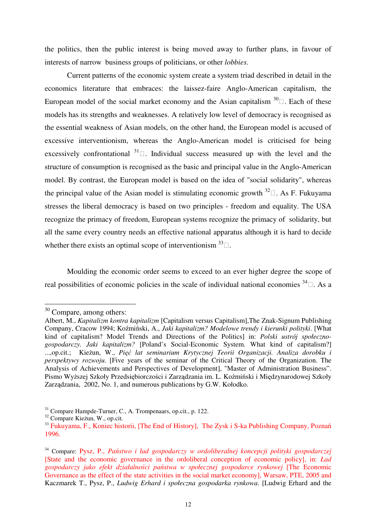the politics, then the public interest is being moved away to further plans, in favour of interests of narrow business groups of politicians, or other *lobbies*.

Current patterns of the economic system create a system triad described in detail in the economics literature that embraces: the laissez-faire Anglo-American capitalism, the European model of the social market economy and the Asian capitalism  $30\degree$ . Each of these models has its strengths and weaknesses. A relatively low level of democracy is recognised as the essential weakness of Asian models, on the other hand, the European model is accused of excessive interventionism, whereas the Anglo-American model is criticised for being excessively confrontational  $31\Box$ . Individual success measured up with the level and the structure of consumption is recognised as the basic and principal value in the Anglo-American model. By contrast, the European model is based on the idea of "social solidarity", whereas the principal value of the Asian model is stimulating economic growth  $32\degree$ . As F. Fukuyama stresses the liberal democracy is based on two principles - freedom and equality. The USA recognize the primacy of freedom, European systems recognize the primacy of solidarity, but all the same every country needs an effective national apparatus although it is hard to decide whether there exists an optimal scope of interventionism  $33\Box$ .

Moulding the economic order seems to exceed to an ever higher degree the scope of real possibilities of economic policies in the scale of individual national economies  $34\Box$ . As a

<sup>&</sup>lt;sup>30</sup> Compare, among others:

Albert, M., *Kapitalizm kontra kapitalizm* [Capitalism versus Capitalism],The Znak-Signum Publishing Company, Cracow 1994; Koźmiński, A., *Jaki kapitalizm? Modelowe trendy i kierunki polityki*. [What kind of capitalism? Model Trends and Directions of the Politics] in: *Polski ustrój społecznogospodarczy. Jaki kapitalizm?* [Poland's Social-Economic System. What kind of capitalism?] ...,op.cit.; Kieżun, W., *Pi*ęć *lat seminarium Krytycznej Teorii Organizacji. Analiza dorobku i perspektywy rozwoju*. [Five years of the seminar of the Critical Theory of the Organization. The Analysis of Achievements and Perspectives of Development], "Master of Administration Business". Pismo Wyższej Szkoły Przedsiębiorczości i Zarządzania im. L. Koźmiński i Międzynarodowej Szkoły Zarządzania, 2002, No. 1, and numerous publications by G.W. Kołodko.

<sup>31</sup> Compare Hampde-Turner, C., A. Trompenaars, op.cit., p. 122.

<sup>32</sup> Compare Kieżun, W., op.cit.

<sup>&</sup>lt;sup>33</sup> Fukuyama, F., Koniec historii, [The End of History], The Zysk i S-ka Publishing Company, Poznań 1996.

<sup>34</sup> Compare: Pysz, P., *Pa*ń*stwo i ład gospodarczy w ordoliberalnej koncepcji polityki gospodarczej* [State and the economic governance in the ordoliberal conception of economic policy], in: *Ład gospodarczy jako efekt działalno*ś*ci pa*ń*stwa w społecznej gospodarce rynkowej* [The Economic Governance as the effect of the state activities in the social market economy], Warsaw, PTE, 2005 and Kaczmarek T., Pysz, P., *Ludwig Erhard i społeczna gospodarka rynkowa*. [Ludwig Erhard and the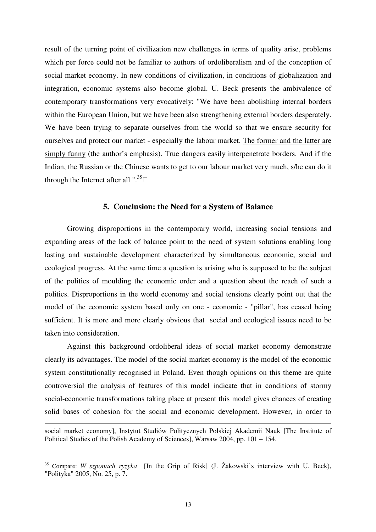result of the turning point of civilization new challenges in terms of quality arise, problems which per force could not be familiar to authors of ordoliberalism and of the conception of social market economy. In new conditions of civilization, in conditions of globalization and integration, economic systems also become global. U. Beck presents the ambivalence of contemporary transformations very evocatively: "We have been abolishing internal borders within the European Union, but we have been also strengthening external borders desperately. We have been trying to separate ourselves from the world so that we ensure security for ourselves and protect our market - especially the labour market. The former and the latter are simply funny (the author's emphasis). True dangers easily interpenetrate borders. And if the Indian, the Russian or the Chinese wants to get to our labour market very much, s/he can do it through the Internet after all ".<sup>35</sup> $\Box$ 

### **5. Conclusion: the Need for a System of Balance**

Growing disproportions in the contemporary world, increasing social tensions and expanding areas of the lack of balance point to the need of system solutions enabling long lasting and sustainable development characterized by simultaneous economic, social and ecological progress. At the same time a question is arising who is supposed to be the subject of the politics of moulding the economic order and a question about the reach of such a politics. Disproportions in the world economy and social tensions clearly point out that the model of the economic system based only on one - economic - "pillar", has ceased being sufficient. It is more and more clearly obvious that social and ecological issues need to be taken into consideration.

Against this background ordoliberal ideas of social market economy demonstrate clearly its advantages. The model of the social market economy is the model of the economic system constitutionally recognised in Poland. Even though opinions on this theme are quite controversial the analysis of features of this model indicate that in conditions of stormy social-economic transformations taking place at present this model gives chances of creating solid bases of cohesion for the social and economic development. However, in order to

-

social market economy], Instytut Studiów Politycznych Polskiej Akademii Nauk [The Institute of Political Studies of the Polish Academy of Sciences], Warsaw 2004, pp. 101 – 154.

<sup>35</sup> Compare: *W szponach ryzyka* [In the Grip of Risk] (J. Żakowski's interview with U. Beck), "Polityka" 2005, No. 25, p. 7.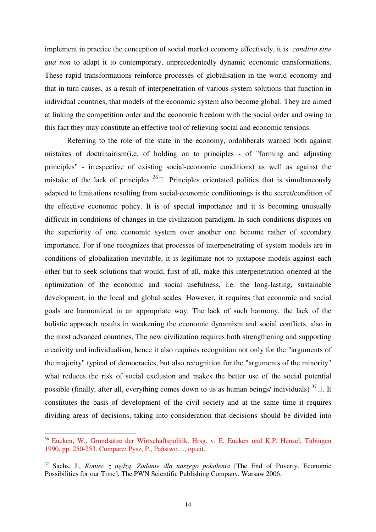implement in practice the conception of social market economy effectively, it is *conditio sine qua non* to adapt it to contemporary, unprecedentedly dynamic economic transformations. These rapid transformations reinforce processes of globalisation in the world economy and that in turn causes, as a result of interpenetration of various system solutions that function in individual countries, that models of the economic system also become global. They are aimed at linking the competition order and the economic freedom with the social order and owing to this fact they may constitute an effective tool of relieving social and economic tensions.

Referring to the role of the state in the economy, ordoliberals warned both against mistakes of doctrinairism(i.e. of holding on to principles - of "forming and adjusting principles" - irrespective of existing social-economic conditions) as well as against the mistake of the lack of principles  $36\degree$ . Principles orientated politics that is simultaneously adapted to limitations resulting from social-economic conditionings is the secret/condition of the effective economic policy. It is of special importance and it is becoming unusually difficult in conditions of changes in the civilization paradigm. In such conditions disputes on the superiority of one economic system over another one become rather of secondary importance. For if one recognizes that processes of interpenetrating of system models are in conditions of globalization inevitable, it is legitimate not to juxtapose models against each other but to seek solutions that would, first of all, make this interpenetration oriented at the optimization of the economic and social usefulness, i.e. the long-lasting, sustainable development, in the local and global scales. However, it requires that economic and social goals are harmonized in an appropriate way. The lack of such harmony, the lack of the holistic approach results in weakening the economic dynamism and social conflicts, also in the most advanced countries. The new civilization requires both strengthening and supporting creativity and individualism, hence it also requires recognition not only for the "arguments of the majority" typical of democracies, but also recognition for the "arguments of the minority" what reduces the risk of social exclusion and makes the better use of the social potential possible (finally, after all, everything comes down to us as human beings/ individuals)  $37\Box$ . It constitutes the basis of development of the civil society and at the same time it requires dividing areas of decisions, taking into consideration that decisions should be divided into

<sup>&</sup>lt;sup>36</sup> Eucken, W., Grundsätze der Wirtschaftspolitik, Hrsg. v. E. Eucken und K.P. Hensel, Tübingen 1990, pp. 250-253. Compare: Pysz, P., Państwo…, op.cit.

<sup>37</sup> Sachs, J., *Koniec z n*ę*dz*ą*. Zadanie dla naszego pokolenia* [The End of Poverty. Economic Possibilities for our Time], The PWN Scientific Publishing Company, Warsaw 2006.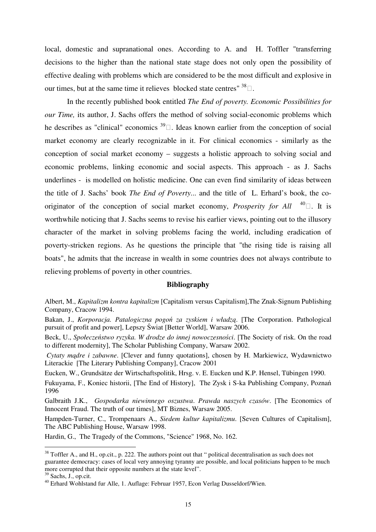local, domestic and supranational ones. According to A. and H. Toffler "transferring decisions to the higher than the national state stage does not only open the possibility of effective dealing with problems which are considered to be the most difficult and explosive in our times, but at the same time it relieves blocked state centres"  $38\degree$ .

In the recently published book entitled *The End of poverty. Economic Possibilities for our Time,* its author, J. Sachs offers the method of solving social-economic problems which he describes as "clinical" economics  $3^9$   $\Box$ . Ideas known earlier from the conception of social market economy are clearly recognizable in it. For clinical economics - similarly as the conception of social market economy – suggests a holistic approach to solving social and economic problems, linking economic and social aspects. This approach - as J. Sachs underlines - is modelled on holistic medicine. One can even find similarity of ideas between the title of J. Sachs' book *The End of Poverty*... and the title of L. Erhard's book, the cooriginator of the conception of social market economy, *Prosperity for All*  $40$ . It is worthwhile noticing that J. Sachs seems to revise his earlier views, pointing out to the illusory character of the market in solving problems facing the world, including eradication of poverty-stricken regions. As he questions the principle that "the rising tide is raising all boats", he admits that the increase in wealth in some countries does not always contribute to relieving problems of poverty in other countries.

#### **Bibliography**

Albert, M., *Kapitalizm kontra kapitalizm* [Capitalism versus Capitalism],The Znak-Signum Publishing Company, Cracow 1994.

Bakan, J., *Korporacja. Patalogiczna pogo*ń *za zyskiem i władz*ą. [The Corporation. Pathological pursuit of profit and power], Lepszy Świat [Better World], Warsaw 2006.

Beck, U., *Społecze*ń*stwo ryzyka. W drodze do innej nowoczesno*ś*ci*. [The Society of risk. On the road to different modernity], The Scholar Publishing Company, Warsaw 2002.

 *Cytaty m*ą*dre i zabawne*. [Clever and funny quotations], chosen by H. Markiewicz, Wydawnictwo Literackie [The Literary Publishing Company], Cracow 2001

Eucken, W., Grundsätze der Wirtschaftspolitik, Hrsg. v. E. Eucken und K.P. Hensel, Tübingen 1990.

Fukuyama, F., Koniec historii, [The End of History], The Zysk i S-ka Publishing Company, Poznań 1996

Galbraith J.K., *Gospodarka niewinnego oszustwa*. *Prawda naszych czasów*. [The Economics of Innocent Fraud. The truth of our times], MT Biznes, Warsaw 2005.

Hampden-Turner, C., Trompenaars A., *Siedem kultur kapitalizmu*. [Seven Cultures of Capitalism], The ABC Publishing House, Warsaw 1998.

Hardin, G., The Tragedy of the Commons, "Science" 1968, No. 162.

<sup>&</sup>lt;sup>38</sup> Toffler A., and H., op.cit., p. 222. The authors point out that " political decentralisation as such does not guarantee democracy: cases of local very annoying tyranny are possible, and local politicians happen to be much more corrupted that their opposite numbers at the state level".

<sup>39</sup> Sachs, J., op.cit.

<sup>40</sup> Erhard Wohlstand fur Alle, 1. Auflage: Februar 1957, Econ Verlag Dusseldorf/Wien.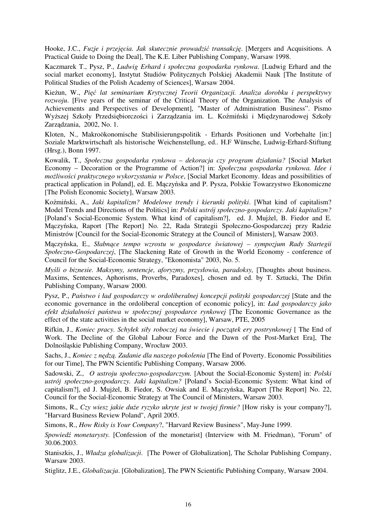Hooke, J.C., *Fuzje i przej*ę*cia. Jak skutecznie prowadzi*ć *transakcj*ę. [Mergers and Acquisitions. A Practical Guide to Doing the Deal], The K.E. Liber Publishing Company, Warsaw 1998.

Kaczmarek T., Pysz, P., *Ludwig Erhard i społeczna gospodarka rynkowa*. [Ludwig Erhard and the social market economy], Instytut Studiów Politycznych Polskiej Akademii Nauk [The Institute of Political Studies of the Polish Academy of Sciences], Warsaw 2004.

Kieżun, W., *Pi*ęć *lat seminarium Krytycznej Teorii Organizacji. Analiza dorobku i perspektywy rozwoju*. [Five years of the seminar of the Critical Theory of the Organization. The Analysis of Achievements and Perspectives of Development], "Master of Administration Business". Pismo Wyższej Szkoły Przedsiębiorczości i Zarządzania im. L. Koźmiński i Międzynarodowej Szkoły Zarządzania, 2002, No. 1.

Kloten, N., Makroökonomische Stabilisierungspolitik - Erhards Positionen und Vorbehalte [in:] Soziale Marktwirtschaft als historische Weichenstellung, ed.. H.F Wünsche, Ludwig-Erhard-Stiftung (Hrsg.), Bonn 1997.

Kowalik, T., *Społeczna gospodarka rynkowa – dekoracja czy program działania?* [Social Market Economy – Decoration or the Programme of Action?] in: *Społeczna gospodarka rynkowa. Idee i mo*ż*liwo*ś*ci praktycznego wykorzystania w Polsce*, [Social Market Economy. Ideas and possibilities of practical application in Poland], ed. E. Mączyńska and P. Pysza, Polskie Towarzystwo Ekonomiczne [The Polish Economic Society], Warsaw 2003.

Koźmiński, A., *Jaki kapitalizm? Modelowe trendy i kierunki polityki*. [What kind of capitalism? Model Trends and Directions of the Politics] in: *Polski ustrój społeczno-gospodarczy. Jaki kapitalizm?* [Poland's Social-Economic System. What kind of capitalism?], ed. J. Mujżel, B. Fiedor and E. Mączyńska, Raport [The Report] No. 22, Rada Strategii Społeczno-Gospodarczej przy Radzie Ministrów [Council for the Social-Economic Strategy at the Council of Ministers], Warsaw 2003.

Mączyńska, E., *Słabn*ą*ce tempo wzrostu w gospodarce* ś*wiatowej – sympozjum Rady Startegii Społeczno-Gospodarczej*, [The Slackening Rate of Growth in the World Economy - conference of Council for the Social-Economic Strategy, "Ekonomista" 2003, No. 5.

*My*ś*li o biznesie. Maksymy, sentencje, aforyzmy, przysłowia, paradoksy,* [Thoughts about business. Maxims, Sentences, Aphorisms, Proverbs, Paradoxes], chosen and ed. by T. Sztucki, The Difin Publishing Company, Warsaw 2000.

Pysz, P., *Pa*ń*stwo i ład gospodarczy w ordoliberalnej koncepcji polityki gospodarczej* [State and the economic governance in the ordoliberal conception of economic policy], in: *Ład gospodarczy jako efekt działalno*ś*ci pa*ń*stwa w społecznej gospodarce rynkowej* [The Economic Governance as the effect of the state activities in the social market economy], Warsaw, PTE, 2005

Rifkin, J., *Koniec pracy. Schyłek siły roboczej na* ś*wiecie i pocz*ą*tek ery postrynkowej* [ The End of Work. The Decline of the Global Labour Force and the Dawn of the Post-Market Era], The Dolnośląskie Publishing Company, Wrocław 2003.

Sachs, J., *Koniec z n*ę*dz*ą*. Zadanie dla naszego pokolenia* [The End of Poverty. Economic Possibilities for our Time], The PWN Scientific Publishing Company, Warsaw 2006.

Sadowski, Z., *O ustroju społeczno-gospodarczym*. [About the Social-Economic System] in: *Polski ustrój społeczno-gospodarczy. Jaki kapitalizm?* [Poland's Social-Economic System: What kind of capitalism?], ed J. Mujżel, B. Fiedor, S. Owsiak and E. Mączyńska, Raport [The Report] No. 22, Council for the Social-Economic Strategy at The Council of Ministers, Warsaw 2003.

Simons, R., *Czy wiesz jakie du*ż*e ryzyko ukryte jest w twojej firmie?* [How risky is your company?], "Harvard Business Review Poland", April 2005.

Simons, R., *How Risky is Your Company*?, "Harvard Review Business", May-June 1999.

*Spowied*ź *monetarysty.* [Confession of the monetarist] (Interview with M. Friedman), "Forum" of 30.06.2003.

Staniszkis, J., *Władza globalizacji*. [The Power of Globalization], The Scholar Publishing Company, Warsaw 2003.

Stiglitz, J.E., *Globalizacja*. [Globalization], The PWN Scientific Publishing Company, Warsaw 2004.